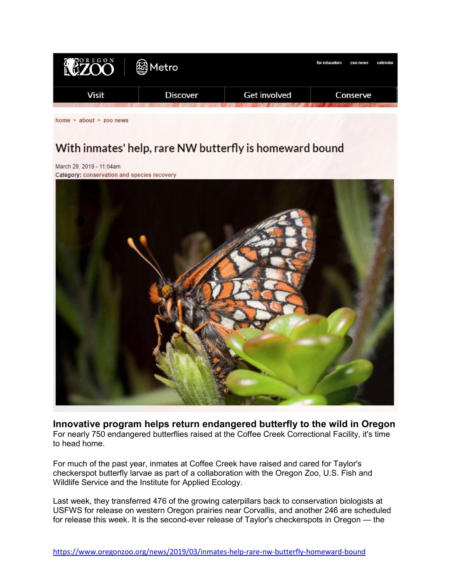

home  $>$  about  $>$  zoo news

## With inmates' help, rare NW butterfly is homeward bound

March 29, 2019 - 11:04am Category: conservation and species recovery



**Innovative program helps return endangered butterfly to the wild in Oregon** For nearly 750 endangered butterflies raised at the Coffee Creek Correctional Facility, it's time to head home.

For much of the past year, inmates at Coffee Creek have raised and cared for Taylor's checkerspot butterfly larvae as part of a collaboration with the Oregon Zoo, U.S. Fish and Wildlife Service and the Institute for Applied Ecology.

Last week, they transferred 476 of the growing caterpillars back to conservation biologists at USFWS for release on western Oregon prairies near Corvallis, and another 246 are scheduled for release this week. It is the second-ever release of Taylor's checkerspots in Oregon — the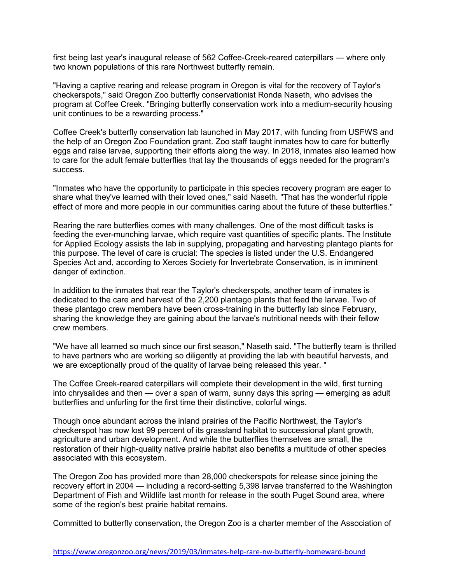first being last year's inaugural release of 562 Coffee-Creek-reared caterpillars — where only two known populations of this rare Northwest butterfly remain.

"Having a captive rearing and release program in Oregon is vital for the recovery of Taylor's checkerspots," said Oregon Zoo butterfly conservationist Ronda Naseth, who advises the program at Coffee Creek. "Bringing butterfly conservation work into a medium-security housing unit continues to be a rewarding process."

Coffee Creek's butterfly conservation lab launched in May 2017, with funding from USFWS and the help of an Oregon Zoo Foundation grant. Zoo staff taught inmates how to care for butterfly eggs and raise larvae, supporting their efforts along the way. In 2018, inmates also learned how to care for the adult female butterflies that lay the thousands of eggs needed for the program's success.

"Inmates who have the opportunity to participate in this species recovery program are eager to share what they've learned with their loved ones," said Naseth. "That has the wonderful ripple effect of more and more people in our communities caring about the future of these butterflies."

Rearing the rare butterflies comes with many challenges. One of the most difficult tasks is feeding the ever-munching larvae, which require vast quantities of specific plants. The Institute for Applied Ecology assists the lab in supplying, propagating and harvesting plantago plants for this purpose. The level of care is crucial: The species is listed under the U.S. Endangered Species Act and, according to Xerces Society for Invertebrate Conservation, is in imminent danger of extinction.

In addition to the inmates that rear the Taylor's checkerspots, another team of inmates is dedicated to the care and harvest of the 2,200 plantago plants that feed the larvae. Two of these plantago crew members have been cross-training in the butterfly lab since February, sharing the knowledge they are gaining about the larvae's nutritional needs with their fellow crew members.

"We have all learned so much since our first season," Naseth said. "The butterfly team is thrilled to have partners who are working so diligently at providing the lab with beautiful harvests, and we are exceptionally proud of the quality of larvae being released this year. "

The Coffee Creek-reared caterpillars will complete their development in the wild, first turning into chrysalides and then — over a span of warm, sunny days this spring — emerging as adult butterflies and unfurling for the first time their distinctive, colorful wings.

Though once abundant across the inland prairies of the Pacific Northwest, the Taylor's checkerspot has now lost 99 percent of its grassland habitat to successional plant growth, agriculture and urban development. And while the butterflies themselves are small, the restoration of their high-quality native prairie habitat also benefits a multitude of other species associated with this ecosystem.

The Oregon Zoo has provided more than 28,000 checkerspots for release since joining the recovery effort in 2004 — including a record-setting 5,398 larvae transferred to the Washington Department of Fish and Wildlife last month for release in the south Puget Sound area, where some of the region's best prairie habitat remains.

Committed to butterfly conservation, the Oregon Zoo is a charter member of the Association of